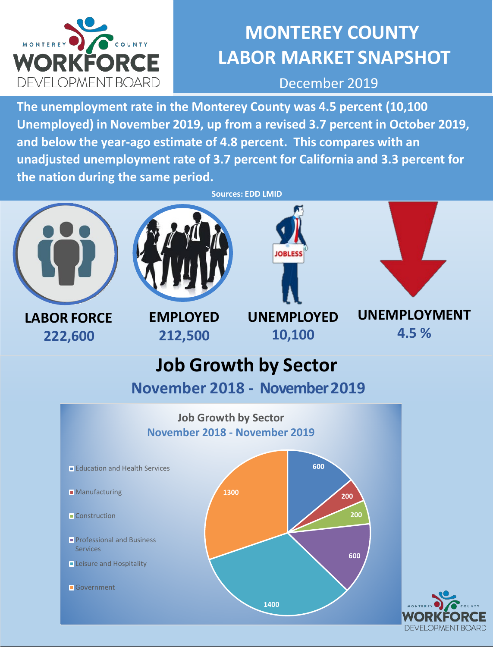

# **MONTEREY COUNTY LABOR MARKET SNAPSHOT**

December 2019

**The unemployment rate in the Monterey County was 4.5 percent (10,100 Unemployed) in November 2019, up from a revised 3.7 percent in October 2019, and below the year-ago estimate of 4.8 percent. This compares with an unadjusted unemployment rate of 3.7 percent for California and 3.3 percent for the nation during the same period.** 



**LABOR FORCE 222,600**



**EMPLOYED 212,500**



**UNEMPLOYED**

**10,100**



**UNEMPLOYMENT 4.5 %**

## **Job Growth by Sector**

**November 2018 - November 2019**



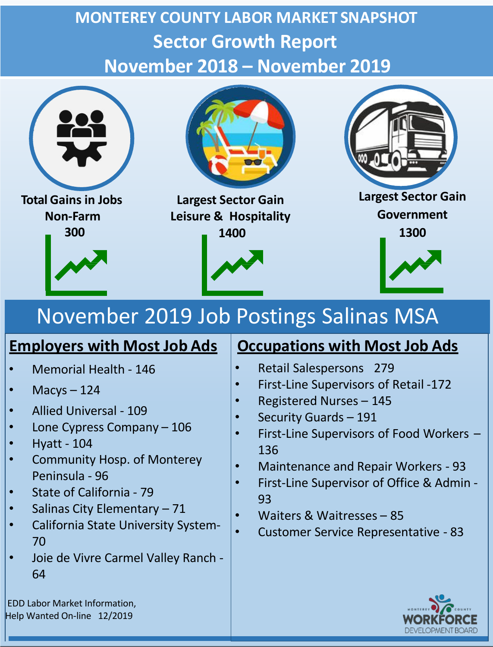# **MONTEREY COUNTY LABOR MARKET SNAPSHOT Sector Growth Report November 2018 – November 2019**



# November 2019 Job Postings Salinas MSA

### **Employers with Most Job Ads** | Occupations with Most Job Ads

- Memorial Health 146
- Macys 124
- Allied Universal 109
- Lone Cypress Company 106
- Hyatt 104
- Community Hosp. of Monterey Peninsula - 96
- State of California 79
- Salinas City Elementary 71
- California State University System-70
- Joie de Vivre Carmel Valley Ranch 64

EDD Labor Market Information, Help Wanted On-line 12/2019

- Retail Salespersons 279
- First-Line Supervisors of Retail -172
- Registered Nurses 145
- Security Guards 191
- First-Line Supervisors of Food Workers 136
- Maintenance and Repair Workers 93
- First-Line Supervisor of Office & Admin 93
- Waiters & Waitresses 85
- Customer Service Representative 83